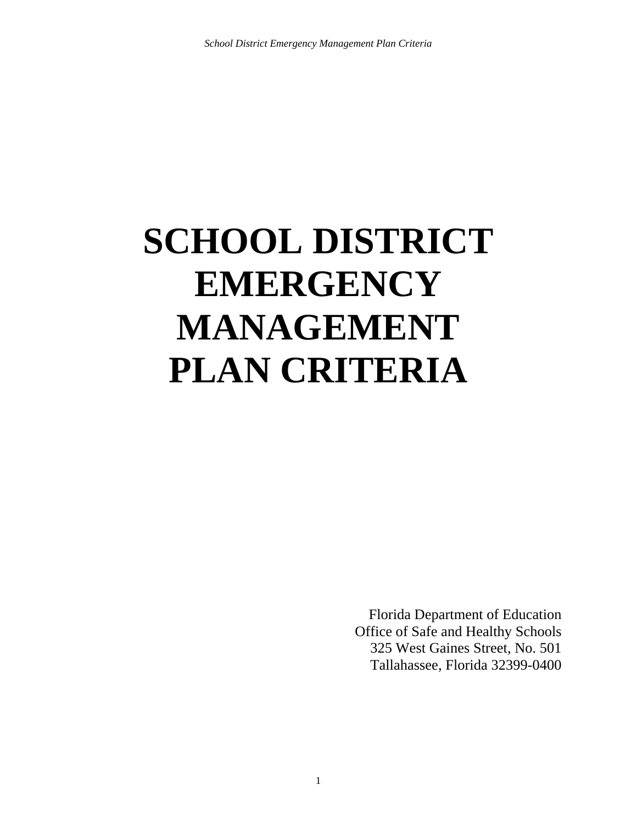# **SCHOOL DISTRICT EMERGENCY MANAGEMENT PLAN CRITERIA**

Florida Department of Education Office of Safe and Healthy Schools 325 West Gaines Street, No. 501 Tallahassee, Florida 32399-0400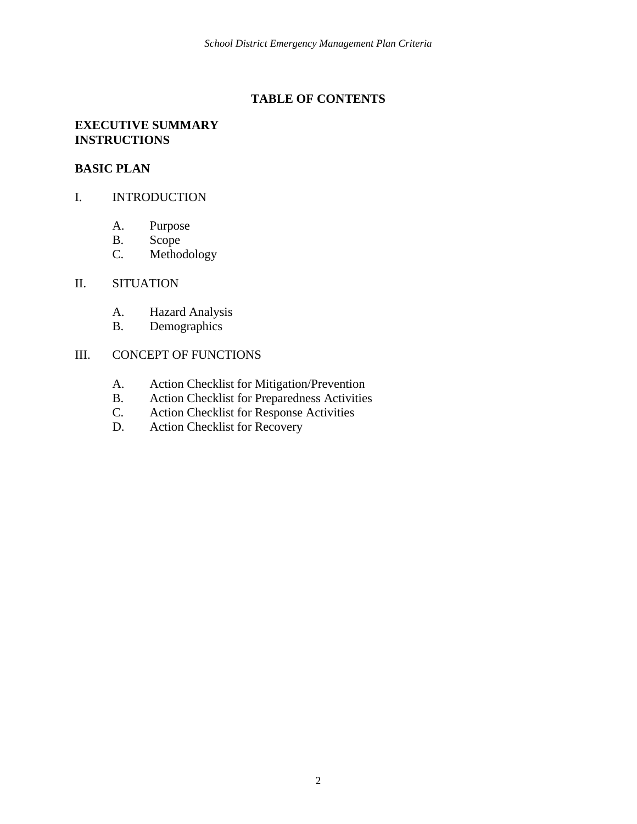#### **TABLE OF CONTENTS**

#### **EXECUTIVE SUMMARY INSTRUCTIONS**

#### **BASIC PLAN**

### I. INTRODUCTION

- A. Purpose
- B. Scope
- C. Methodology

#### II. SITUATION

- A. Hazard Analysis
- B. Demographics

#### III. CONCEPT OF FUNCTIONS

- A. Action Checklist for Mitigation/Prevention
- B. Action Checklist for Preparedness Activities<br>C. Action Checklist for Response Activities
- C. Action Checklist for Response Activities<br>D. Action Checklist for Recovery
- Action Checklist for Recovery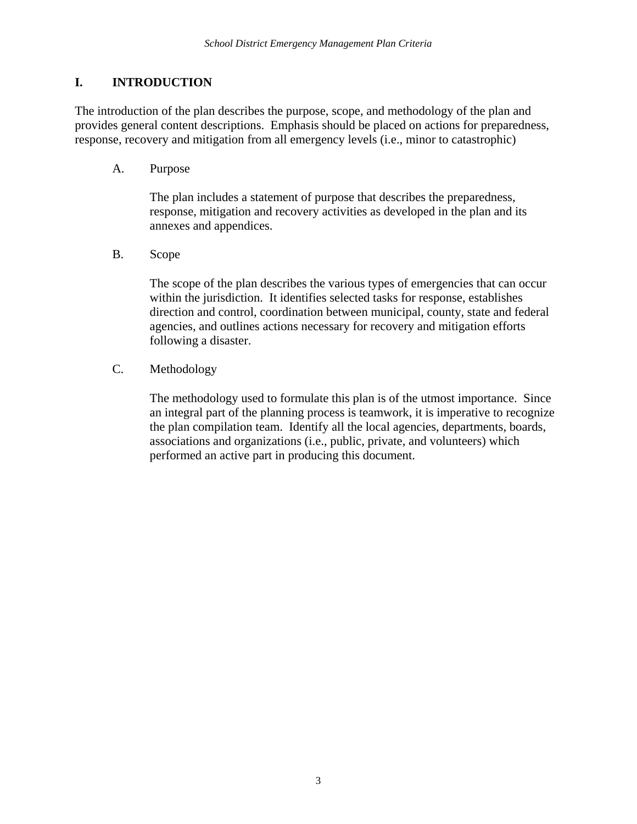## **I. INTRODUCTION**

The introduction of the plan describes the purpose, scope, and methodology of the plan and provides general content descriptions. Emphasis should be placed on actions for preparedness, response, recovery and mitigation from all emergency levels (i.e., minor to catastrophic)

A. Purpose

The plan includes a statement of purpose that describes the preparedness, response, mitigation and recovery activities as developed in the plan and its annexes and appendices.

B. Scope

The scope of the plan describes the various types of emergencies that can occur within the jurisdiction. It identifies selected tasks for response, establishes direction and control, coordination between municipal, county, state and federal agencies, and outlines actions necessary for recovery and mitigation efforts following a disaster.

C. Methodology

The methodology used to formulate this plan is of the utmost importance. Since an integral part of the planning process is teamwork, it is imperative to recognize the plan compilation team. Identify all the local agencies, departments, boards, associations and organizations (i.e., public, private, and volunteers) which performed an active part in producing this document.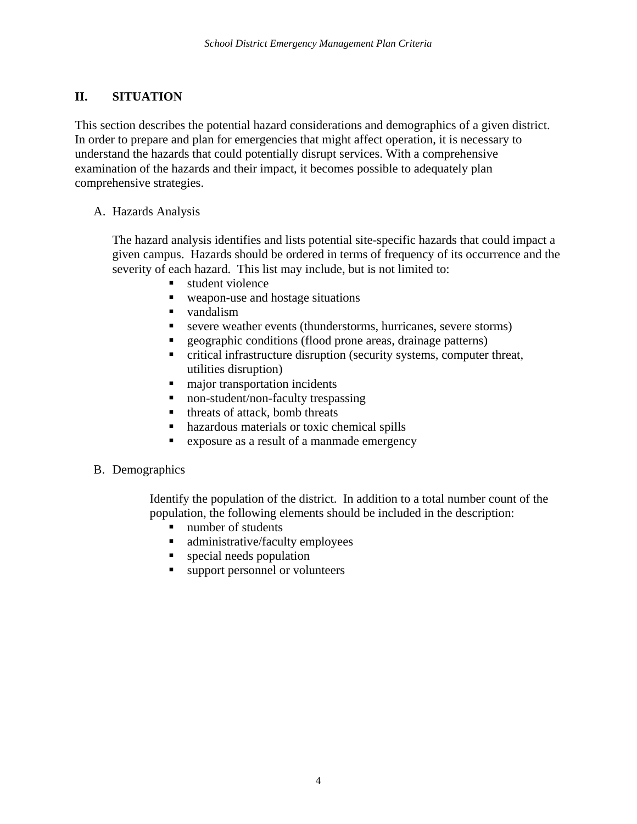## **II. SITUATION**

This section describes the potential hazard considerations and demographics of a given district. In order to prepare and plan for emergencies that might affect operation, it is necessary to understand the hazards that could potentially disrupt services. With a comprehensive examination of the hazards and their impact, it becomes possible to adequately plan comprehensive strategies.

### A. Hazards Analysis

The hazard analysis identifies and lists potential site-specific hazards that could impact a given campus. Hazards should be ordered in terms of frequency of its occurrence and the severity of each hazard. This list may include, but is not limited to:

- student violence
- weapon-use and hostage situations
- vandalism
- severe weather events (thunderstorms, hurricanes, severe storms)
- geographic conditions (flood prone areas, drainage patterns)
- critical infrastructure disruption (security systems, computer threat, utilities disruption)
- $\blacksquare$  major transportation incidents
- non-student/non-faculty trespassing
- threats of attack, bomb threats
- hazardous materials or toxic chemical spills
- exposure as a result of a manmade emergency

## B. Demographics

Identify the population of the district. In addition to a total number count of the population, the following elements should be included in the description:

- number of students
- administrative/faculty employees
- **special needs population**
- support personnel or volunteers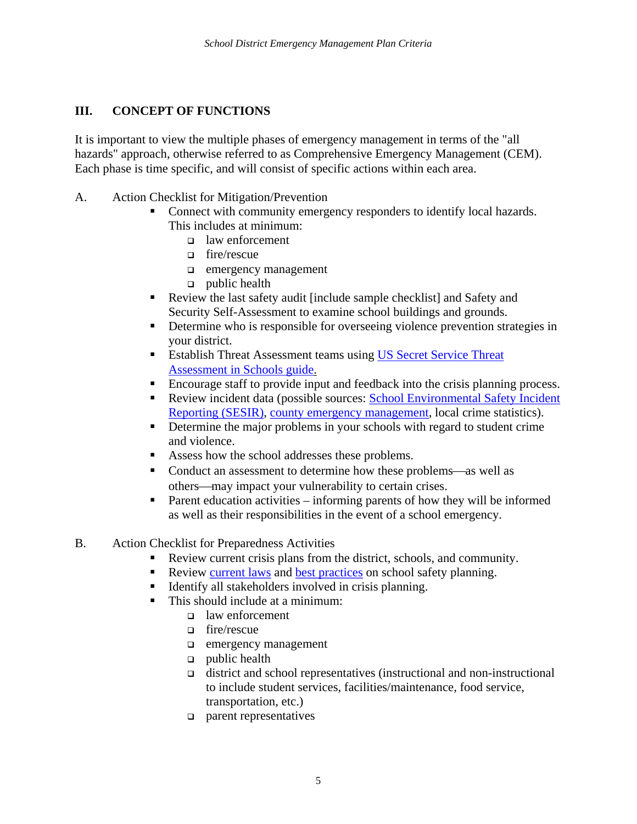## **III. CONCEPT OF FUNCTIONS**

It is important to view the multiple phases of emergency management in terms of the "all hazards" approach, otherwise referred to as Comprehensive Emergency Management (CEM). Each phase is time specific, and will consist of specific actions within each area.

- A. Action Checklist for Mitigation/Prevention
	- Connect with community emergency responders to identify local hazards. This includes at minimum:
		- law enforcement
		- fire/rescue
		- **d** emergency management
		- $\Box$  public health
	- Review the last safety audit [include sample checklist] and Safety and Security Self-Assessment to examine school buildings and grounds.
	- Determine who is responsible for overseeing violence prevention strategies in your district.
	- **Establish Threat Assessment teams using US Secret Service Threat** Assessment in Schools guide.
	- Encourage staff to provide input and feedback into the crisis planning process.
	- Review incident data (possible sources: School Environmental Safety Incident Reporting (SESIR), county emergency management, local crime statistics).
	- Determine the major problems in your schools with regard to student crime and violence.
	- Assess how the school addresses these problems.
	- Conduct an assessment to determine how these problems—as well as others—may impact your vulnerability to certain crises.
	- **Parent education activities informing parents of how they will be informed** as well as their responsibilities in the event of a school emergency.
- B. Action Checklist for Preparedness Activities
	- Review current crisis plans from the district, schools, and community.
	- Review current laws and best practices on school safety planning.
	- Identify all stakeholders involved in crisis planning.
	- This should include at a minimum:
		- □ law enforcement
		- fire/rescue
		- **d** emergency management
		- $\Box$  public health
		- district and school representatives (instructional and non-instructional to include student services, facilities/maintenance, food service, transportation, etc.)
		- parent representatives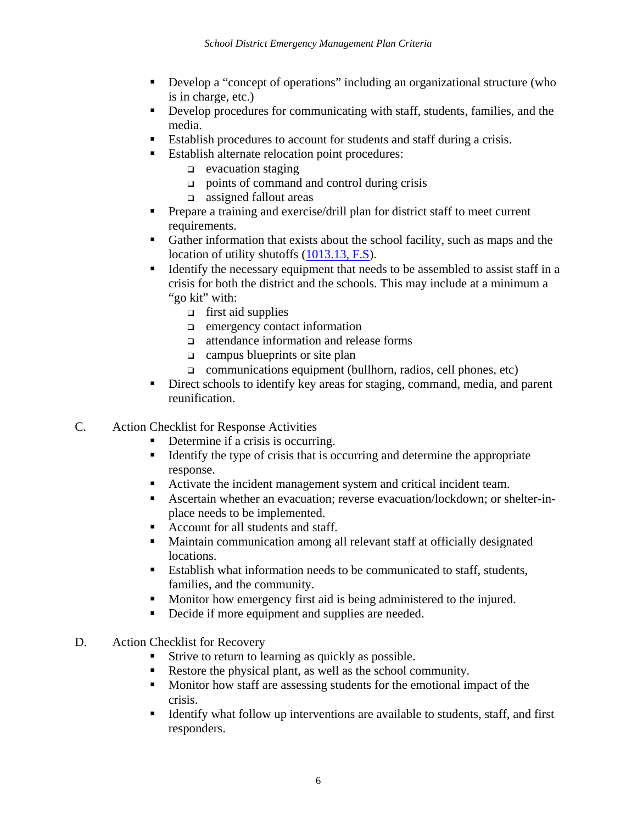- Develop a "concept of operations" including an organizational structure (who is in charge, etc.)
- Develop procedures for communicating with staff, students, families, and the media.
- Establish procedures to account for students and staff during a crisis.
- **Establish alternate relocation point procedures:** 
	- $\Box$  evacuation staging
	- points of command and control during crisis
	- assigned fallout areas
- Prepare a training and exercise/drill plan for district staff to meet current requirements.
- Gather information that exists about the school facility, such as maps and the location of utility shutoffs (1013.13, F.S).
- Identify the necessary equipment that needs to be assembled to assist staff in a crisis for both the district and the schools. This may include at a minimum a "go kit" with:
	- $\Box$  first aid supplies
	- $\Box$  emergency contact information
	- attendance information and release forms
	- $\Box$  campus blueprints or site plan
	- $\Box$  communications equipment (bullhorn, radios, cell phones, etc)
- Direct schools to identify key areas for staging, command, media, and parent reunification.
- C. Action Checklist for Response Activities
	- Determine if a crisis is occurring.
	- Identify the type of crisis that is occurring and determine the appropriate response.
	- Activate the incident management system and critical incident team.
	- Ascertain whether an evacuation; reverse evacuation/lockdown; or shelter-inplace needs to be implemented.
	- Account for all students and staff.
	- Maintain communication among all relevant staff at officially designated locations.
	- Establish what information needs to be communicated to staff, students, families, and the community.
	- **Monitor how emergency first aid is being administered to the injured.**
	- Decide if more equipment and supplies are needed.
- D. Action Checklist for Recovery
	- Strive to return to learning as quickly as possible.
	- Restore the physical plant, as well as the school community.
	- **Monition** Monitor how staff are assessing students for the emotional impact of the crisis.
	- Identify what follow up interventions are available to students, staff, and first responders.